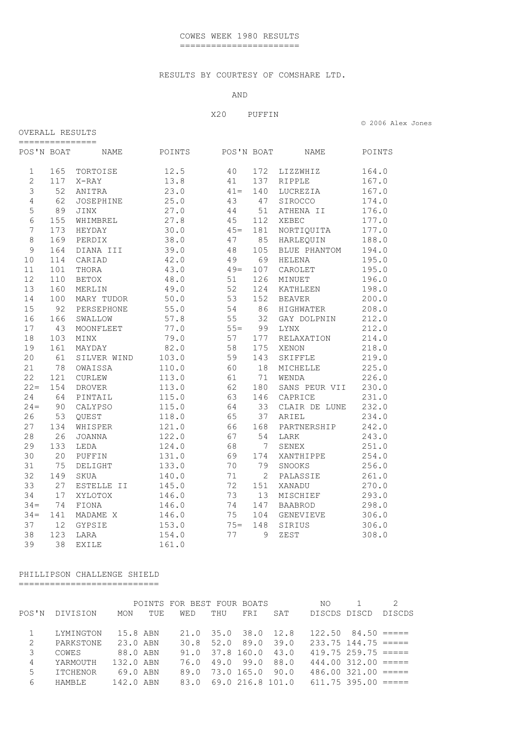### RESULTS BY COURTESY OF COMSHARE LTD.

# AND

#### X20 PUFFIN

| © 2006 Alex Jones |
|-------------------|
|-------------------|

| ============== |     |               |        |            |     |                |        |
|----------------|-----|---------------|--------|------------|-----|----------------|--------|
| POS'N BOAT     |     | NAME          | POINTS | POS'N BOAT |     | <b>NAME</b>    | POINTS |
| $\mathbf 1$    | 165 | TORTOISE      | 12.5   | 40         | 172 | LIZZWHIZ       | 164.0  |
| $\overline{2}$ | 117 | X-RAY         | 13.8   | 41         | 137 | RIPPLE         | 167.0  |
| 3              | 52  | ANITRA        | 23.0   | $41 =$     | 140 | LUCREZIA       | 167.0  |
| $\overline{4}$ | 62  | JOSEPHINE     | 25.0   | 43         | 47  | SIROCCO        | 174.0  |
| 5              | 89  | <b>JINX</b>   | 27.0   | 44         | 51  | ATHENA II      | 176.0  |
| $\sqrt{6}$     | 155 | WHIMBREL      | 27.8   | 45         | 112 | XEBEC          | 177.0  |
| 7              | 173 | HEYDAY        | 30.0   | $45 =$     | 181 | NORTIQUITA     | 177.0  |
| $\,8\,$        | 169 | PERDIX        | 38.0   | 47         | 85  | HARLEQUIN      | 188.0  |
| 9              | 164 | DIANA III     | 39.0   | 48         | 105 | BLUE PHANTOM   | 194.0  |
| 10             | 114 | CARIAD        | 42.0   | 49         | 69  | HELENA         | 195.0  |
| 11             | 101 | THORA         | 43.0   | $49 =$     | 107 | CAROLET        | 195.0  |
| 12             | 110 | <b>BETOX</b>  | 48.0   | 51         | 126 | MINUET         | 196.0  |
| 13             | 160 | MERLIN        | 49.0   | 52         | 124 | KATHLEEN       | 198.0  |
| 14             | 100 | MARY TUDOR    | 50.0   | 53         | 152 | <b>BEAVER</b>  | 200.0  |
| 15             | 92  | PERSEPHONE    | 55.0   | 54         | 86  | HIGHWATER      | 208.0  |
| 16             | 166 | SWALLOW       | 57.8   | 55         | 32  | GAY DOLPNIN    | 212.0  |
| 17             | 43  | MOONFLEET     | 77.0   | $55 =$     | 99  | LYNX           | 212.0  |
| 18             | 103 | MINX          | 79.0   | 57         | 177 | RELAXATION     | 214.0  |
| 19             | 161 | MAYDAY        | 82.0   | 58         | 175 | XENON          | 218.0  |
| 20             | 61  | SILVER WIND   | 103.0  | 59         | 143 | SKIFFLE        | 219.0  |
| 21             | 78  | OWAISSA       | 110.0  | 60         | 18  | MICHELLE       | 225.0  |
| 22             | 121 | <b>CURLEW</b> | 113.0  | 61         | 71  | WENDA          | 226.0  |
| $22 =$         | 154 | <b>DROVER</b> | 113.0  | 62         | 180 | SANS PEUR VII  | 230.0  |
| 24             | 64  | PINTAIL       | 115.0  | 63         | 146 | CAPRICE        | 231.0  |
| $24 =$         | 90  | CALYPSO       | 115.0  | 64         | 33  | CLAIR DE LUNE  | 232.0  |
| 26             | 53  | QUEST         | 118.0  | 65         | 37  | ARIEL          | 234.0  |
| 27             | 134 | WHISPER       | 121.0  | 66         | 168 | PARTNERSHIP    | 242.0  |
| 28             | 26  | <b>JOANNA</b> | 122.0  | 67         | 54  | LARK           | 243.0  |
| 29             | 133 | LEDA          | 124.0  | 68         | 7   | SENEX          | 251.0  |
| 30             | 20  | PUFFIN        | 131.0  | 69         | 174 | XANTHIPPE      | 254.0  |
| 31             | 75  | DELIGHT       | 133.0  | 70         | 79  | SNOOKS         | 256.0  |
| 32             | 149 | SKUA          | 140.0  | 71         | 2   | PALASSIE       | 261.0  |
| 33             | 27  | ESTELLE II    | 145.0  | 72         | 151 | XANADU         | 270.0  |
| 34             | 17  | XYLOTOX       | 146.0  | 73         | 13  | MISCHIEF       | 293.0  |
| $34 =$         | 74  | FIONA         | 146.0  | 74         | 147 | <b>BAABROD</b> | 298.0  |
| $34 =$         | 141 | MADAME X      | 146.0  | 75         | 104 | GENEVIEVE      | 306.0  |
| 37             | 12  | GYPSIE        | 153.0  | $75 =$     | 148 | SIRIUS         | 306.0  |
| 38             | 123 | LARA          | 154.0  | 77         | 9   | ZEST           | 308.0  |
| 39             | 38  | <b>EXILE</b>  | 161.0  |            |     |                |        |

## PHILLIPSON CHALLENGE SHIELD

===========================

OVERALL RESULTS

|       |                 |           |     | POINTS FOR BEST FOUR BOATS |                       |          |      | NO.          |                          |        |
|-------|-----------------|-----------|-----|----------------------------|-----------------------|----------|------|--------------|--------------------------|--------|
| POS'N | DIVISION        | MON       | TUE | WED                        | THU                   | FRI      | SAT  | DISCDS DISCD |                          | DISCDS |
|       |                 |           |     |                            |                       |          |      |              |                          |        |
|       | LYMINGTON       | 15.8 ABN  |     |                            | 21.0 35.0 38.0 12.8   |          |      |              | $122.50$ $84.50$ =====   |        |
| 2     | PARKSTONE       | 23.0 ABN  |     |                            | 30.8 52.0 89.0        |          | 39.0 |              | $233.75$ 144.75 =====    |        |
| 3     | COWES           | 88.0 ABN  |     |                            | 91.0 37.8 160.0 43.0  |          |      |              | $419.75$ $259.75$ $====$ |        |
| 4     | YARMOUTH        | 132.0 ABN |     | 76.0                       |                       | 49.099.0 | 88.0 |              | $444.00$ $312.00$ $====$ |        |
| 5     | <b>ITCHENOR</b> | 69.0 ABN  |     |                            | 89.0 73.0 165.0       |          | 90.0 |              | $486.00$ $321.00$ $====$ |        |
| 6     | <b>HAMRLE</b>   | 142.0 ABN |     |                            | 83.0 69.0 216.8 101.0 |          |      |              | $611.75$ 395.00 $====$   |        |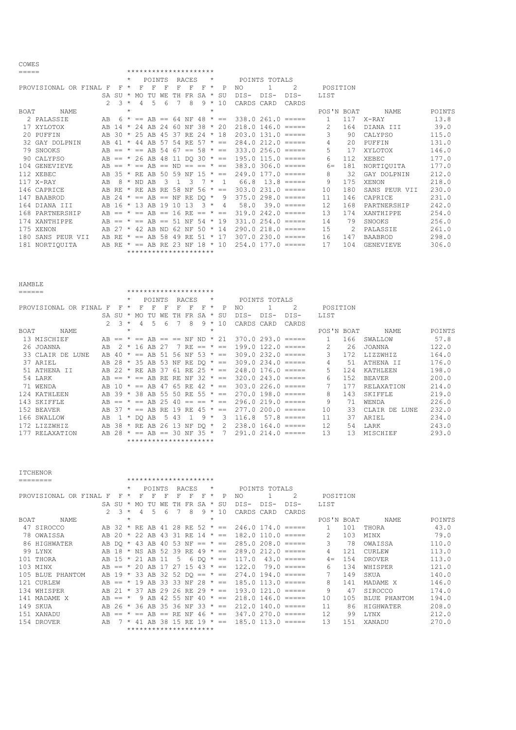|--|

| =====       |                        | ********************* |         |                  |                              |        |      |                 |           |              |            |              |            |                        |               |              |      |                  |        |
|-------------|------------------------|-----------------------|---------|------------------|------------------------------|--------|------|-----------------|-----------|--------------|------------|--------------|------------|------------------------|---------------|--------------|------|------------------|--------|
|             |                        |                       |         |                  |                              | POINTS |      |                 | RACES     |              | $^\star$   |              |            | POINTS TOTALS          |               |              |      |                  |        |
|             | PROVISIONAL OR FINAL F |                       | F.      | $\star$          | F                            | F      | F    | F               | F         | F            | $\star$    | P            | NO.        |                        | $\mathcal{L}$ | POSITION     |      |                  |        |
|             |                        | SA.                   | SU      | $\star$          | MO.                          | TU     | WF.  | TH.             | <b>FR</b> | SA           | $\star$    | SU           | $DTS-$     | $DTS-$                 | $DTS-$        | <b>LIST</b>  |      |                  |        |
|             |                        | $\mathcal{P}$         |         | $\overline{3}$ * | $\overline{4}$               | .5     | 6    |                 | 8         | 9            | $\star$    | 10           | CARDS CARD |                        | CARDS         |              |      |                  |        |
| <b>BOAT</b> | NAME.                  |                       |         | $\star$          |                              |        |      |                 |           |              | $\star$    |              |            |                        |               | POS'N BOAT   |      | NAME             | POINTS |
|             | 2 PALASSIE             | AB.                   |         |                  | $6 * == AB == 64 NF 48 * ==$ |        |      |                 |           |              |            |              |            | $338.0261.0 == ==$     |               | $\mathbf{1}$ | 117  | X-RAY            | 13.8   |
|             | 17 XYLOTOX             | AB                    | 14      | $\star$          | 24 AB 24 60 NF 38 $\star$ 20 |        |      |                 |           |              |            |              |            | $218.0$ 146.0 =====    |               | 2            | 164  | DIANA III        | 39.0   |
|             | 20 PUFFIN              | AB                    | 30      |                  | * 25 AB 45 37 RE 24          |        |      |                 |           |              |            | * 18         |            | $203.0$ 131.0 $====$   |               | 3.           | 90   | CALYPSO          | 115.0  |
|             | 32 GAY DOLPNIN         | AB                    | -41     |                  | 44 AB 57 54 RE 57 $\star$ == |        |      |                 |           |              |            |              |            | $284.0$ $212.0$ =====  |               | 4            | 2.0  | PUFFIN           | 131.0  |
|             | 79 SNOOKS              |                       | $AB ==$ | $\star$          | $==$ $AB$                    |        | - 54 | 67              |           | $== 58 * ==$ |            |              |            | $333.0$ $256.0$ =====  |               | 5.           | 17   | XYLOTOX          | 146.0  |
|             | 90 CALYPSO             |                       | $AB ==$ | $\star$          | 26 AB 48                     |        |      | 11 DQ 30 $* ==$ |           |              |            |              |            | $195.0$ 115.0 $====$   |               | 6            | 112. | <b>XEBEC</b>     | 177.0  |
|             | 104 GENEVIEVE          | AB                    |         |                  | $==$ AB $==$ ND $==$ $==$    |        |      |                 |           |              |            | $\star$ ==   |            | $383.0$ $306.0$ $====$ |               | $6 =$        | 181  | NORTIOUITA       | 177.0  |
|             | 112 XEBEC              |                       | AB 35   | $\star$          | RE AB 50 59 NF 15 *          |        |      |                 |           |              |            | $=$          |            | $249.0$ 177.0 $====$   |               | 8            | 32   | GAY DOLPNIN      | 212.0  |
|             | $117$ X-RAY            | AB                    | 8       |                  | ND AB                        |        |      |                 | 3         |              | $^{\star}$ |              | 66.8       |                        | $13.8$ =====  | 9            | 175  | XENON            | 218.0  |
|             | 146 CAPRICE            |                       | AB RE   | $\star$          | RE AB RE 58                  |        |      |                 | NF        | $.56*$       |            | $=$          |            | $303.0231.0 == ==$     |               | 10           | 180  | SANS PEUR VII    | 230.0  |
|             | 147 BAABROD            | AB 24                 |         | $\star$          | $==$ AB $==$                 |        |      | ΝF              |           | RE DO *      |            | -9           |            | $375.0298.0 == ==$     |               | 11           | 146  | CAPRICE          | 231.0  |
|             | 164 DIANA III          | AB.                   | $16*$   |                  | 13 AB 19 10 13               |        |      |                 |           | 3            | $\star$    | 4            | 58.0       |                        | $39.0$ =====  | 12           | 168  | PARTNERSHIP      | 242.0  |
|             | 168 PARTNERSHIP        |                       | $AB ==$ |                  | $==$ AB $==$ 16 RE $==$      |        |      |                 |           |              |            | $\star$ $==$ |            | $319.0242.0 == ==$     |               | 13           | 174  | XANTHIPPE        | 254.0  |
|             | 174 XANTHIPPE          |                       | $AB ==$ |                  | $==$ AB $==$ 51 NF           |        |      |                 |           | -54          |            | $* 19$       |            | $331.0254.0 == ==$     |               | 14           | 79   | SNOOKS           | 256.0  |
|             | 175 XENON              | AR                    | -27     | $\star$          | 42 AB                        |        | ND.  | -62             | NF        | $50 * 14$    |            |              |            | $290.0218.0 == ==$     |               | 1.5          | 2    | PALASSIE         | 261.0  |
|             | 180 SANS PEUR VII      |                       | AB RE   |                  | $==$ AB 58                   |        |      | 49              |           | RE 51 * 17   |            |              |            | $307.0230.0 == ==$     |               | 16           | 147  | <b>BAABROD</b>   | 298.0  |
|             | 181 NORTIOUITA         |                       | AR RE   |                  | $* == AR RR 23$              |        |      |                 | NF        | 18           |            | $*10$        |            | $254.0$ 177.0 $====$   |               | 17           | 104  | <b>GENEVIEVE</b> | 306.0  |
|             |                        |                       |         |                  | *********************        |        |      |                 |           |              |            |              |            |                        |               |              |      |                  |        |

| <b>HAMBLE</b>                  |               |                |         |                            |         |               |                           |        |           |         |              |        |               |                        |            |     |                       |        |
|--------------------------------|---------------|----------------|---------|----------------------------|---------|---------------|---------------------------|--------|-----------|---------|--------------|--------|---------------|------------------------|------------|-----|-----------------------|--------|
| ======                         |               |                |         | *********************      |         |               |                           |        |           |         |              |        |               |                        |            |     |                       |        |
|                                |               |                | $\star$ |                            | POINTS  |               |                           | RACES  |           | $\star$ |              |        | POINTS TOTALS |                        |            |     |                       |        |
| PROVISIONAL OR FINAL F         |               | F              | $\star$ |                            |         | F             |                           | F      | F         | $\star$ | P            | NO     |               | 2                      | POSITION   |     |                       |        |
|                                |               | $SA$ $SIJ$ $*$ |         | MO                         |         |               |                           | FR     | SA.       | $\star$ | SU           | $DIS-$ | $DTS-$        | $DTS-$                 | LIST       |     |                       |        |
|                                | $\mathcal{P}$ | $\mathcal{R}$  | $\star$ | 4                          | 5       | 6             |                           | 8      | 9.        | $\star$ | 10           | CARDS  | CARD          | CARDS                  |            |     |                       |        |
| BOAT<br>NAME                   |               |                | $\star$ |                            |         |               |                           |        |           | $\star$ |              |        |               |                        | POS'N BOAT |     | NAME                  | POINTS |
| 13 MISCHIEF                    |               | $AR ==$        |         | $* == AB == == NF ND * 21$ |         |               |                           |        |           |         |              |        |               | $370.0$ 293.0 $====$   |            | 166 | SWALLOW               | 57.8   |
| 26 JOANNA                      | AB            |                | $\star$ |                            | 16 AB   | -27           |                           | $RF =$ |           |         | $=$          |        |               | $199.0$ $122.0$ =====  | 2          | 2.6 | JOANNA                | 122.0  |
| 33 CLATR<br>DE.<br><b>LUNE</b> | AB            | -40            | $\star$ | $==$                       |         |               | AB 51 56 NF 53 $\star$ == |        |           |         |              |        |               | $309.0232.0 == ==$     | 3          | 172 | <b>T.T Z Z WH T Z</b> | 164.0  |
| 37 ARIEL                       |               | AB 28          | $\star$ | 35 AB 53 NF                |         |               |                           | RE     | $DO * ==$ |         |              |        |               | $309.0234.0 == ==$     | 4          | 51  | ATHENA II             | 176.0  |
| 51 ATHENA II                   | AB            | 22             | $\star$ | RF.                        | AB      | -37           | -61                       | RE.    | $2.5 * =$ |         |              |        |               | $248.0$ 176.0 $====$   | 5.         | 124 | KATHLEEN              | 198.0  |
| 54 LARK                        | $AB ==$       |                | $\star$ | $==$                       | AB      | RE.           | RF.                       | NF     | 32        |         | $\star$ $==$ |        |               | $320.0$ $243.0$ $====$ | 6          | 152 | <b>BEAVER</b>         | 200.0  |
| 71 WENDA                       | AB.           | 1 N            | $\star$ | $==$                       | AR      | -47           | 65                        | RE.    | 42        |         | $\star$ $==$ |        |               | $303.0226.0 == ==$     |            | 177 | RELAXATION            | 214.0  |
| 124 KATHLEEN                   |               | AB 39          | $\star$ | 38                         | AB 55   |               | 50                        | RE     | 55        |         | $\star$ $=$  |        |               | $270.0$ 198.0 =====    | 8          | 143 | <b>SKTFFLE</b>        | 219.0  |
| 143 SKIFFLE                    |               | $AB ==$        | $\star$ | $==$                       | AB      | 25            | 40                        | $==$   | $=$       |         | $\star$ ==   |        |               | $296.0219.0 == ==$     | 9          | 71  | WENDA                 | 226.0  |
| 152 BEAVER                     | AB            |                |         | $==$                       | AB      | RE.           | 19                        | RE.    | 45        | $\star$ | $=$          | 277.0  |               | $200.0$ =====          | 10         | 33  | CLAIR DE<br>T.UNE     | 232.0  |
| 166 SWALLOW                    | AB            |                | $\star$ | DO.                        | AB      | $\mathcal{D}$ | 43                        |        | 9         | $\star$ | 3            | 116.8  |               | $57.8$ =====           | 11         | 37  | ARTEL                 | 234.0  |
| 172 LIZZWHIZ                   | AB.           | -38            |         | RE                         | AB      | 26            | 13                        | ΝF     | $DO *$    |         | 2            | 238.0  |               | $164.0 == ==$          | 12.        | 54  | LARK                  | 243.0  |
| <b>RELAXATION</b><br>177       | AB            | 28             | $\star$ | $==$                       | $AR ==$ |               | 30 NF                     |        | 35 *      |         |              |        |               | $291.0$ $214.0$ $====$ | 13         | 13  | MISCHIEF              | 293.0  |
|                                |               |                |         | *********************      |         |               |                           |        |           |         |              |        |               |                        |            |     |                       |        |

**ITCHENOR** 

|                             |                                      | *********************                      |                                                  |                               |        |
|-----------------------------|--------------------------------------|--------------------------------------------|--------------------------------------------------|-------------------------------|--------|
|                             | POINTS<br>$\star$                    | RACES<br>$\star$                           | POINTS TOTALS                                    |                               |        |
| PROVISIONAL OR FINAL F<br>F | F<br>$\star$<br>F<br>F               | F<br>F<br>F<br>P<br>$\star$                | 2<br>NO.                                         | POSITION                      |        |
|                             | $SA$ $SU$ $*$ $MO$<br>TU<br>WF.      | SU<br>SA<br>$\star$<br>TН<br>FR            | $DTS-$<br>$DTS-$<br>$DTS-$                       | LIST                          |        |
| 2 <sup>3</sup>              | $\star$<br>$\overline{4}$<br>.5<br>6 | 8<br>$9 * 10$                              | CARDS CARD<br>CARDS                              |                               |        |
| BOAT<br>NAME                | $\star$                              | $\star$                                    |                                                  | POS'N BOAT<br>NAME.           | POINTS |
| 47 SIROCCO                  |                                      |                                            | AB 32 * RE AB 41 28 RE 52 * == 246.0 174.0 ===== | 101<br>$\mathbf{1}$<br>THORA  | 43.0   |
| 78 OWAISSA<br>AB 20         | $\star$                              | 22 AB 43 31 RE 14 $* ==$                   | $182.0$ 110.0 =====                              | 103<br>2<br>MINX              | 79.0   |
| 86 HIGHWATER                |                                      | AB DO * 43 AB 40 53 NF == * ==             | $285.0208.0 == ==$                               | 3<br>78<br>OWAISSA            | 110.0  |
| 99 LYNX                     |                                      | AB 18 $*$ NS AB 52 39 RE 49 $* ==$         | $289.0212.0 == ==$                               | 4<br>121<br>CURLEW            | 113.0  |
| 101 THORA                   |                                      | AB 15 * 21 AB 11 5 6 DO * ==               | 117.0<br>$43.0$ =====                            | 154<br><b>DROVER</b><br>$4 =$ | 113.0  |
| 103 MINX                    |                                      | AB == $*$ 20 AB 17 27 15 43 $*$ ==         | 122.0<br>79.0 =====                              | 6<br>134<br>WHISPER           | 121.0  |
| 105 BLUE PHANTOM            |                                      | AB 19 $*$ 33 AB 32 52 DO == $*$ ==         | $274.0$ 194.0 $====$                             | 149<br>SKUA                   | 140.0  |
| 121 CURLEW                  |                                      | AB == $*$ 19 AB 33 33 NF 28 $*$ ==         | $185.0$ $113.0$ $==$ $==$                        | 8<br>141<br>MADAME X          | 146.0  |
| 134 WHISPER                 |                                      | AB 21 $\star$ 37 AB 29 26 RE 29 $\star$ == | $193.0$ $121.0$ $==$                             | 9<br>47<br>SIROCCO            | 174.0  |
| 141 MADAMEX<br>$AB == *$    |                                      | 9 AB 42 55 NF 40 $* ==$                    | $218.0$ 146.0 =====                              | 105<br>10<br>BLUE PHANTOM     | 194.0  |
| 149 SKUA<br>AB 26           | $\star$                              | 36 AB 35 36 NF 33 $* ==$                   | $212.0$ 140.0 $====$                             | 11<br>86<br>HIGHWATER         | 208.0  |
| 151 XANADU<br>$AB ==$       | $AB ==$<br>$==$                      | RENF 46 $* ==$                             | $347.0270.0 == ==$                               | 12<br>LYNX<br>99              | 212.0  |
| 154 DROVER<br>AB            | $7 *$                                | 41 AB 38 15 RE 19 $* ==$                   | $185.0$ 113.0 $====$                             | 1.3<br>151<br>XANADU          | 270.0  |
|                             |                                      | *********************                      |                                                  |                               |        |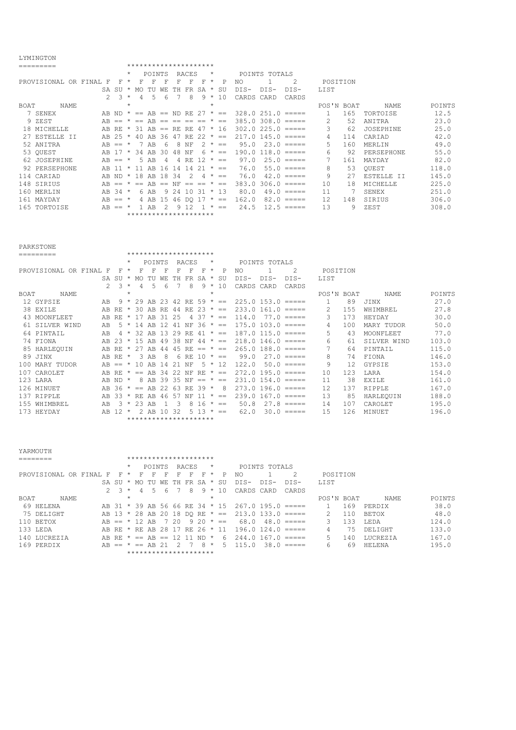#### LYMINGTON

| ᆜᆣᄓᆠᆦᇅᇦᆂᅛᄓ           |                    |         |      |                       |         |                                                                                                                                                                                                                                                                                                                                                                                                                                                                                        |                |                |        |               |                                                           |            |     |                 |        |
|----------------------|--------------------|---------|------|-----------------------|---------|----------------------------------------------------------------------------------------------------------------------------------------------------------------------------------------------------------------------------------------------------------------------------------------------------------------------------------------------------------------------------------------------------------------------------------------------------------------------------------------|----------------|----------------|--------|---------------|-----------------------------------------------------------|------------|-----|-----------------|--------|
|                      |                    |         |      | ********************* |         |                                                                                                                                                                                                                                                                                                                                                                                                                                                                                        |                |                |        |               |                                                           |            |     |                 |        |
|                      |                    | $\star$ |      | <b>POINTS</b>         |         | RACES                                                                                                                                                                                                                                                                                                                                                                                                                                                                                  |                | $\star$        |        | POINTS TOTALS |                                                           |            |     |                 |        |
| PROVISIONAL OR FINAL | F<br>F             | $\star$ |      |                       |         | F                                                                                                                                                                                                                                                                                                                                                                                                                                                                                      | F              | $\star$<br>P   | NO.    |               | 2                                                         | POSITION   |     |                 |        |
|                      | SU<br>SA           | $\star$ | MO.  | WF.                   |         | FR                                                                                                                                                                                                                                                                                                                                                                                                                                                                                     | SA             | SU<br>$\star$  | $DIS-$ | $DIS-$        | DIS-                                                      | LIST       |     |                 |        |
|                      | $\mathcal{P}$<br>3 | $\star$ | 4    | 5                     | 6       | 8                                                                                                                                                                                                                                                                                                                                                                                                                                                                                      | 9              | 10<br>$\star$  | CARDS  | CARD          | CARDS                                                     |            |     |                 |        |
| <b>BOAT</b><br>NAME  |                    | $\star$ |      |                       |         |                                                                                                                                                                                                                                                                                                                                                                                                                                                                                        |                | $\star$        |        |               |                                                           | POS'N BOAT |     | <b>NAME</b>     | POINTS |
| 7 SENEX              | AB ND              |         | $==$ | $AB ==$               |         | ND RE                                                                                                                                                                                                                                                                                                                                                                                                                                                                                  | -27            | $\star$ ==     |        |               | $328.0$ $251.0$ $====$                                    |            | 165 | TORTOISE        | 12.5   |
| 9 ZEST               | AB<br>$==$         |         | $==$ | AB<br>$=$             |         | $\begin{array}{cccccccccccccc} \multicolumn{2}{c}{} & \multicolumn{2}{c}{} & \multicolumn{2}{c}{} & \multicolumn{2}{c}{} & \multicolumn{2}{c}{} & \multicolumn{2}{c}{} & \multicolumn{2}{c}{} & \multicolumn{2}{c}{} & \multicolumn{2}{c}{} & \multicolumn{2}{c}{} & \multicolumn{2}{c}{} & \multicolumn{2}{c}{} & \multicolumn{2}{c}{} & \multicolumn{2}{c}{} & \multicolumn{2}{c}{} & \multicolumn{2}{c}{} & \multicolumn{2}{c}{} & \multicolumn{2}{c}{} & \multicolumn{2}{c}{} & \$ |                | $\star$<br>$=$ |        |               | $385.0$ $308.0$ $====$                                    | 2          | 52  | ANITRA          | 23.0   |
| 18 MTCHELLE          | AB.<br>RE.         |         | 31.  | AB<br>$=$             | RE.     | RF.                                                                                                                                                                                                                                                                                                                                                                                                                                                                                    | -47            | -16<br>$\star$ |        |               | $302.0225.0 == ==$                                        | 3          | 62  | JOSEPHINE       | 25.0   |
| 27 ESTELLE<br>TT     | 25<br>AB           | $\star$ | 40   | AB<br>36              | 47      | RF.                                                                                                                                                                                                                                                                                                                                                                                                                                                                                    | 22             | $\star$<br>$=$ |        |               | $217.0$ 145.0 $====$                                      | 4          | 114 | CARTAD          | 42.0   |
| 52 ANITRA            | AB.<br>$==$        |         |      | AB                    | 8<br>h  | NF                                                                                                                                                                                                                                                                                                                                                                                                                                                                                     | $\overline{2}$ | $\star$<br>$=$ | 95.0   |               | $23.0 == ==$                                              | 5.         | 160 | MERLIN          | 49.0   |
| 53 OUEST             | AB.                | $\star$ | 34   | AB<br>30              | 48      | ΝF                                                                                                                                                                                                                                                                                                                                                                                                                                                                                     | 6 *            | $=$            |        |               | $190.0$ 118.0 $====$                                      | 6          | 92  | PERSEPHONE      | 55.0   |
| 62 JOSEPHINE         | AB.<br>$==$        | $\star$ | 5 AB | 4                     | 4       | RE                                                                                                                                                                                                                                                                                                                                                                                                                                                                                     | 12.            | $\star$ ==     | 97.0   |               | $25.0$ =====                                              |            | 161 | MAYDAY          | 82.0   |
| 92 PERSEPHONE        | AB                 | $\star$ | -11  | AB<br>16              | 14      | 14                                                                                                                                                                                                                                                                                                                                                                                                                                                                                     | 2.1            | $\star$<br>$=$ | 76.0   |               | $55.0$ =====                                              | 8          | 53  | OUEST           | 118.0  |
| 114 CARIAD           | AB ND              | $\star$ | 18   | 18<br>AB              | -34     | 2                                                                                                                                                                                                                                                                                                                                                                                                                                                                                      |                | $\star$ ==     | 76.0   |               | $42.0$ =====                                              | 9          | 27  | ESTELLE II      | 145.0  |
| 148 SIRIUS           | AB                 | $\star$ | $==$ | AB<br>$==$            | NF      | $=$                                                                                                                                                                                                                                                                                                                                                                                                                                                                                    |                | $\star$<br>$=$ | 383.0  |               | $306.0$ =====                                             | 10         | 18  | <b>MTCHELLE</b> | 225.0  |
| 160 MERLIN           | 34<br>AB.          | $\star$ | 6 AB |                       | 24<br>9 | 10                                                                                                                                                                                                                                                                                                                                                                                                                                                                                     | 31             | $* 13$         | 80.0   |               | $49.0$ =====                                              | 11         |     | SENEX           | 251.0  |
| 161 MAYDAY           | AB<br>$==$         |         | 4 AB | 15                    |         | 46 DO 17                                                                                                                                                                                                                                                                                                                                                                                                                                                                               |                | $\star$<br>$=$ | 162.0  | 82.0          | $\qquad \qquad \equiv \equiv \equiv \equiv \equiv \equiv$ | 12.        | 148 | SIRIUS          | 306.0  |
| 165 TORTOISE         | AB<br>$==$         |         |      | AB                    | q       |                                                                                                                                                                                                                                                                                                                                                                                                                                                                                        |                | $\star$<br>$=$ | 24.5   |               | $12.5 == ==$                                              | 1.3        | 9   | ZEST            | 308.0  |
|                      |                    |         |      | ********************* |         |                                                                                                                                                                                                                                                                                                                                                                                                                                                                                        |                |                |        |               |                                                           |            |     |                 |        |

| <b>PARKSTONE</b><br>********************* |     |                |         |      |        |      |     |       |                       |            |             |            |               |                         |            |     |                |        |
|-------------------------------------------|-----|----------------|---------|------|--------|------|-----|-------|-----------------------|------------|-------------|------------|---------------|-------------------------|------------|-----|----------------|--------|
| =========                                 |     |                |         |      |        |      |     |       |                       |            |             |            |               |                         |            |     |                |        |
|                                           |     |                | $\star$ |      | POINTS |      |     | RACES |                       | $^{\star}$ |             |            | POINTS TOTALS |                         |            |     |                |        |
| PROVISIONAL OR FINAL                      | F   | F              | $\star$ | F    | F      | F    | F   | F     | F                     | $\star$    | P           | NO.        |               | 2                       | POSITION   |     |                |        |
|                                           |     | $SA$ $SIJ$ $*$ |         | MO.  | TU     | WF.  | TН  | FR    | SA.                   | $\star$    | SU          | $DIS-$     | $DTS-$        | $DTS-$                  | LIST       |     |                |        |
|                                           | 2   | 3              | $\star$ | 4    | 5      | 6    |     | 8     | 9                     | $\star$    | 10          | CARDS CARD |               | CARDS                   |            |     |                |        |
| NAME.<br><b>BOAT</b>                      |     |                | $\star$ |      |        |      |     |       |                       | $\star$    |             |            |               |                         | POS'N BOAT |     | <b>NAME</b>    | POINTS |
| 12 GYPSIE                                 | AB  | 9              |         | 29   | AB     | -23. | -42 | RE.   | 59                    | $\star$    | $= -$       |            |               | $225.0$ 153.0 $====$    |            | 89  | JINX           | 27.0   |
| 38 EXILE                                  | AB  | RF.            | $\star$ | 30   | AB     | RE.  | 44  | RF.   | 23                    | $\star$    | $=$         |            |               | $233.0$ 161.0 $====$    | 2          | 155 | WH TMBRET,     | 27.8   |
| 43 MOONFLEET                              | AB  | RF.            |         | 17   | AR     | 31   | 25  |       | 37                    | $\star$    | $=$         | 114.0      |               | $77.0$ =====            | 3          | 173 | HEYDAY         | 30.0   |
| STLVER WIND<br>61                         | AB  |                | $\star$ | 14   | AB     |      | 41  | NF    | 36                    |            | $* =$       |            |               | $175.0 103.0 == ==$     | 4          | 100 | MARY TUDOR     | 50.0   |
| 64 PINTAIL                                | AB  | 4              |         | 32   | AB     | 13   | 29  | RE.   | 41                    |            | $\star$ ==  |            |               | $187.0$ $115.0$ $== ==$ | 5          | 43  | MOONFLEET      | 77.0   |
| 74 FIONA                                  | AB  | 23             |         | 15   | AB     | 49   | 38  | NF    | 44                    | $\star$    | $=$         |            |               | $218.0$ 146.0 $====$    | 6          | 61  | SILVER WIND    | 103.0  |
| 85<br>HARLEQUIN                           | AB. | RE.            |         | 27   | AB     | 44   | 4.5 | RE.   | $=$                   | $\star$    | $=$         | 265.0      |               | $188.0$ =====           |            | 64  | PINTAIL        | 115.0  |
| 89<br>JINX                                | AB. | RF.            | $\star$ | 3    | AB     | 8    | 6   | RE.   | 10                    | $\star$    | $=$         | 99.0       |               | $27.0 == ==$            | 8          | 74  | FIONA          | 146.0  |
| 100 MARY TUDOR                            | AB  | $==$           |         | 1 O  | AB     | 14   | 21  | NF    | 5.                    | $\star$    | 12          | 122.0      |               | $50.0 = == ==$          | 9          | 12. | GYPSIE         | 153.0  |
| 107 CAROLET                               | AB  | RF.            | $\star$ | $==$ | AB     | 34   | 2.2 | NF    | RE                    |            | $\star$ ==  |            |               | $272.0$ 195.0 $====$    | 10         | 123 | LARA           | 154.0  |
| 123 LARA                                  | AB. | ND.            | $\star$ | 8    | AB     | 39   | -35 | ΝF    | $==$                  | $\star$    | $==$        |            |               | $231.0$ 154.0 $====$    | 11         | 38  | EXILE          | 161.0  |
| 126 MINUET                                | AB. | -36            | $\star$ | $==$ | AB     | 22   | -63 | RE.   | 39                    | $\star$    | -8          |            |               | $273.0$ 196.0 =====     | 12.        | 137 | RIPPLE         | 167.0  |
| 137 RIPPLE                                | AB  | 33             | $\star$ | RF.  | AR     | 46   | 57  | ΝF    | 11                    |            | $\star$ ==  | 239.0      |               | $167.0$ =====           | 13         | 85  | HARLEOUIN      | 188.0  |
| 155 WHIMBREL                              | AB  | 3              |         | 23   | AB     |      |     | 8     | 16                    |            | $\star$ $=$ | 50.8       |               | $27.8$ =====            | 14         | 107 | <b>CAROLET</b> | 195.0  |
| 173 HEYDAY                                | AB  | 12             |         | 2    | AB     |      | 32  |       |                       | $\star$    | $=$         | 62.0       |               | $30.0 == ==$            | 1.5        | 126 | <b>MTNUET</b>  | 196.0  |
|                                           |     |                |         |      |        |      |     |       | ********************* |            |             |            |               |                         |            |     |                |        |

| YARMOUTH               |         |               |                                 |        |      |            |         |          |                      |                     |                 |             |     |                 |        |
|------------------------|---------|---------------|---------------------------------|--------|------|------------|---------|----------|----------------------|---------------------|-----------------|-------------|-----|-----------------|--------|
|                        |         |               | *********************           |        |      |            |         |          |                      |                     |                 |             |     |                 |        |
|                        |         | $\star$       |                                 | POINTS |      | RACES      | $\star$ |          |                      | POINTS TOTALS       |                 |             |     |                 |        |
| PROVISIONAL OR FINAL F |         | F.<br>$\star$ | F<br>F.                         | F      | F    | F<br>F     | $\star$ | P        | NO                   |                     |                 | POSITION    |     |                 |        |
|                        |         | SA SU *       | - MO<br>TU                      | WF.    | TН   | FR SA *    |         | SU       | $DTS-$               | DTS-                | DTS-            | <b>LIST</b> |     |                 |        |
|                        |         | 3<br>$\star$  | 4<br>5                          | 6      |      | 8          |         | $9 * 10$ | CARDS CARD           |                     | CARDS           |             |     |                 |        |
| <b>NAME</b><br>BOAT    |         | $\star$       |                                 |        |      |            | $\star$ |          |                      |                     |                 | POS'N BOAT  |     | NAME.           | POINTS |
| HELENA<br>69           | AB 31   |               | $*$ 39 AB 56 66 RE 34 $*$ 15    |        |      |            |         |          | $267.0$ 195.0 =====  |                     |                 |             | 169 | PERDIX          | 38.0   |
| 75 DELIGHT             |         |               | AB 13 * 28 AB 20 18 DO RE * ==  |        |      |            |         |          | $213.0$ 133.0 $====$ |                     |                 |             | 110 | <b>BETOX</b>    | 48.0   |
| $110$ BETOX            |         |               | $AB == * 12 AB$                 |        | 7 20 | $920 * ==$ |         |          | 68.0                 |                     | $48.0$ =====    |             | 133 | LEDA            | 124.0  |
| 133 LEDA               |         |               | AB RE * RE AB 28 17             |        |      | RE 26 * 11 |         |          |                      | $196.0 124.0 == ==$ |                 |             | 75  | DELIGHT         | 133.0  |
| 140 LUCREZIA           |         |               | AB RE $* == AB == 12$ 11 ND $*$ |        |      |            |         | -6       | 244.0                | 167.0               | $=$ $=$ $=$ $=$ | 5           | 140 | <b>LUCREZIA</b> | 167.0  |
| 169 PERDIX             | $AB ==$ |               | $* == AB 21$                    |        | -2   | -8         | $\star$ | 5.       | 115.0                | 38.0                | $=$ $=$ $=$ $=$ | 6           | 69  | HELENA          | 195.0  |
|                        |         |               | *********************           |        |      |            |         |          |                      |                     |                 |             |     |                 |        |